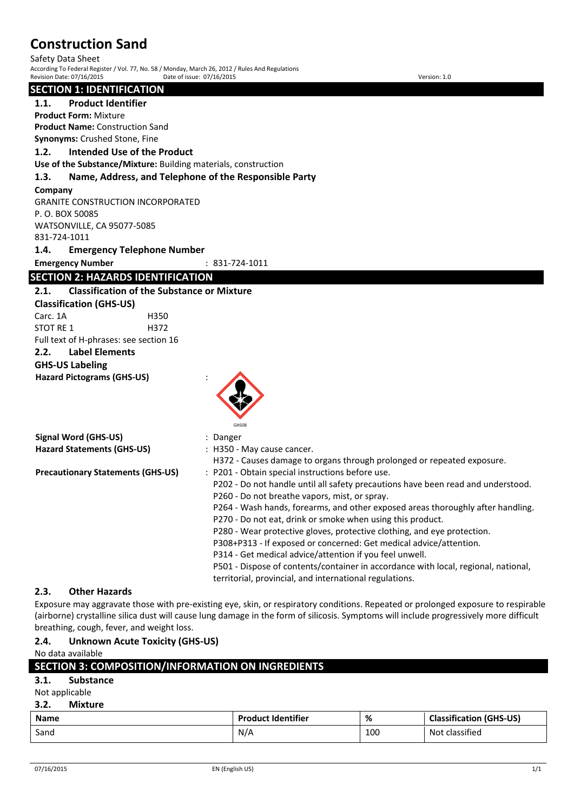Safety Data Sheet According To Federal Register / Vol. 77, No. 58 / Monday, March 26, 2012 / Rules And Regulations Revision Date: 07/16/2015 Date of issue: 07/16/2015 Version: 1.0

#### **SECTION 1: IDENTIFICATION**

**1.1. Product Identifier**

**Product Form:** Mixture

**Product Name:** Construction Sand **Synonyms:** Crushed Stone, Fine

# **1.2. Intended Use of the Product**

**Use of the Substance/Mixture:** Building materials, construction

#### **1.3. Name, Address, and Telephone of the Responsible Party**

#### **Company**

GRANITE CONSTRUCTION INCORPORATED P. O. BOX 50085 WATSONVILLE, CA 95077-5085 831-724-1011

**1.4. Emergency Telephone Number**

**Emergency Number** : 831-724-1011

# **SECTION 2: HAZARDS IDENTIFICATION**

# **2.1. Classification of the Substance or Mixture**

**Classification (GHS-US)** Carc. 1A H350 STOT RF 1 H372 Full text of H-phrases: see section 16

# **2.2. Label Elements**

# **GHS-US Labeling**

**Hazard Pictograms (GHS-US)** :



|                                          | GHS08                                                                              |
|------------------------------------------|------------------------------------------------------------------------------------|
| Signal Word (GHS-US)                     | : Danger                                                                           |
| <b>Hazard Statements (GHS-US)</b>        | : H350 - May cause cancer.                                                         |
|                                          | H372 - Causes damage to organs through prolonged or repeated exposure.             |
| <b>Precautionary Statements (GHS-US)</b> | : P201 - Obtain special instructions before use.                                   |
|                                          | P202 - Do not handle until all safety precautions have been read and understood.   |
|                                          | P260 - Do not breathe vapors, mist, or spray.                                      |
|                                          | P264 - Wash hands, forearms, and other exposed areas thoroughly after handling.    |
|                                          | P270 - Do not eat, drink or smoke when using this product.                         |
|                                          | P280 - Wear protective gloves, protective clothing, and eye protection.            |
|                                          | P308+P313 - If exposed or concerned: Get medical advice/attention.                 |
|                                          | P314 - Get medical advice/attention if you feel unwell.                            |
|                                          | P501 - Dispose of contents/container in accordance with local, regional, national, |

# **2.3. Other Hazards**

Exposure may aggravate those with pre-existing eye, skin, or respiratory conditions. Repeated or prolonged exposure to respirable (airborne) crystalline silica dust will cause lung damage in the form of silicosis. Symptoms will include progressively more difficult breathing, cough, fever, and weight loss.

territorial, provincial, and international regulations.

# **2.4. Unknown Acute Toxicity (GHS-US)**

No data available

# **SECTION 3: COMPOSITION/INFORMATION ON INGREDIENTS 3.1. Substance**

# Not applicable

# **3.2. Mixture**

| <b>Name</b> | <b>Product Identifier</b> | %   | <b>Classification (GHS-US)</b> |
|-------------|---------------------------|-----|--------------------------------|
| Sand        | N/A                       | 100 | Not classified                 |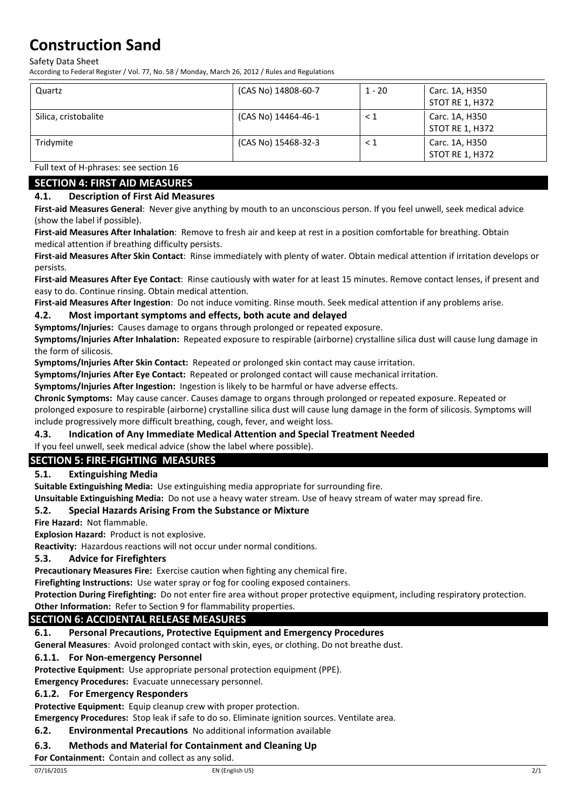Safety Data Sheet

According to Federal Register / Vol. 77, No. 58 / Monday, March 26, 2012 / Rules and Regulations

| Quartz               | (CAS No) 14808-60-7 | $1 - 20$ | Carc. 1A, H350<br>STOT RE 1, H372        |
|----------------------|---------------------|----------|------------------------------------------|
| Silica, cristobalite | (CAS No) 14464-46-1 | < 1      | Carc. 1A, H350<br>STOT RE 1, H372        |
| Tridymite            | (CAS No) 15468-32-3 | $\leq 1$ | Carc. 1A, H350<br><b>STOT RE 1, H372</b> |

Full text of H-phrases: see section 16

# **SECTION 4: FIRST AID MEASURES**

# **4.1. Description of First Aid Measures**

**First-aid Measures General**: Never give anything by mouth to an unconscious person. If you feel unwell, seek medical advice (show the label if possible).

**First-aid Measures After Inhalation**: Remove to fresh air and keep at rest in a position comfortable for breathing. Obtain medical attention if breathing difficulty persists.

**First-aid Measures After Skin Contact**: Rinse immediately with plenty of water. Obtain medical attention if irritation develops or persists.

**First-aid Measures After Eye Contact**: Rinse cautiously with water for at least 15 minutes. Remove contact lenses, if present and easy to do. Continue rinsing. Obtain medical attention.

**First-aid Measures After Ingestion**: Do not induce vomiting. Rinse mouth. Seek medical attention if any problems arise.

# **4.2. Most important symptoms and effects, both acute and delayed**

**Symptoms/Injuries:** Causes damage to organs through prolonged or repeated exposure.

**Symptoms/Injuries After Inhalation:** Repeated exposure to respirable (airborne) crystalline silica dust will cause lung damage in the form of silicosis.

**Symptoms/Injuries After Skin Contact:** Repeated or prolonged skin contact may cause irritation.

**Symptoms/Injuries After Eye Contact:** Repeated or prolonged contact will cause mechanical irritation.

**Symptoms/Injuries After Ingestion:** Ingestion is likely to be harmful or have adverse effects.

**Chronic Symptoms:** May cause cancer. Causes damage to organs through prolonged or repeated exposure. Repeated or prolonged exposure to respirable (airborne) crystalline silica dust will cause lung damage in the form of silicosis. Symptoms will include progressively more difficult breathing, cough, fever, and weight loss.

# **4.3. Indication of Any Immediate Medical Attention and Special Treatment Needed**

If you feel unwell, seek medical advice (show the label where possible).

# **SECTION 5: FIRE-FIGHTING MEASURES**

# **5.1. Extinguishing Media**

**Suitable Extinguishing Media:** Use extinguishing media appropriate for surrounding fire.

**Unsuitable Extinguishing Media:** Do not use a heavy water stream. Use of heavy stream of water may spread fire.

# **5.2. Special Hazards Arising From the Substance or Mixture**

**Fire Hazard:** Not flammable.

**Explosion Hazard:** Product is not explosive.

**Reactivity:** Hazardous reactions will not occur under normal conditions.

# **5.3. Advice for Firefighters**

**Precautionary Measures Fire:** Exercise caution when fighting any chemical fire.

**Firefighting Instructions:** Use water spray or fog for cooling exposed containers.

**Protection During Firefighting:** Do not enter fire area without proper protective equipment, including respiratory protection.

# **Other Information:** Refer to Section 9 for flammability properties.

# **SECTION 6: ACCIDENTAL RELEASE MEASURES**

**6.1. Personal Precautions, Protective Equipment and Emergency Procedures**

**General Measures**: Avoid prolonged contact with skin, eyes, or clothing. Do not breathe dust.

# **6.1.1. For Non-emergency Personnel**

**Protective Equipment:** Use appropriate personal protection equipment (PPE).

**Emergency Procedures:** Evacuate unnecessary personnel.

# **6.1.2. For Emergency Responders**

**Protective Equipment:** Equip cleanup crew with proper protection.

**Emergency Procedures:** Stop leak if safe to do so. Eliminate ignition sources. Ventilate area.

# **6.2. Environmental Precautions** No additional information available

# **6.3. Methods and Material for Containment and Cleaning Up**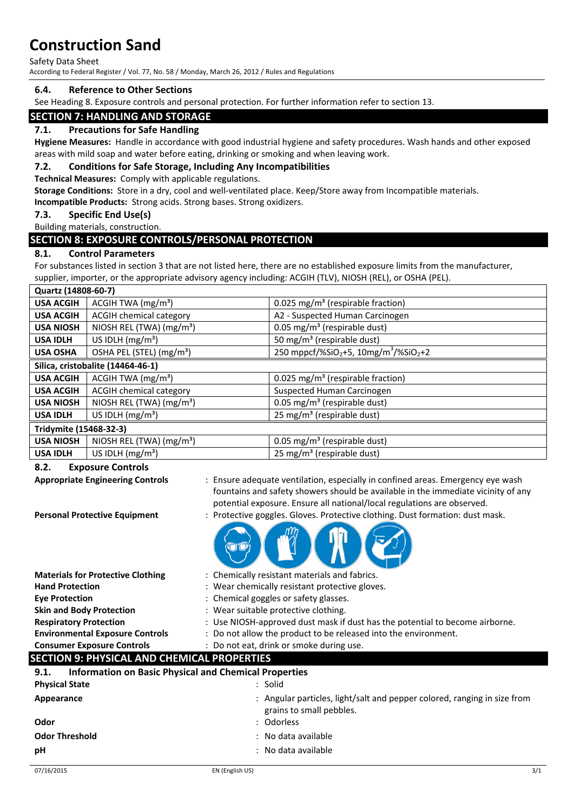Safety Data Sheet

According to Federal Register / Vol. 77, No. 58 / Monday, March 26, 2012 / Rules and Regulations

#### **6.4. Reference to Other Sections**

See Heading 8. Exposure controls and personal protection. For further information refer to section 13.

# **SECTION 7: HANDLING AND STORAGE**

#### **7.1. Precautions for Safe Handling**

**Hygiene Measures:** Handle in accordance with good industrial hygiene and safety procedures. Wash hands and other exposed areas with mild soap and water before eating, drinking or smoking and when leaving work.

#### **7.2. Conditions for Safe Storage, Including Any Incompatibilities**

**Technical Measures:** Comply with applicable regulations.

**Storage Conditions:** Store in a dry, cool and well-ventilated place. Keep/Store away from Incompatible materials.

**Incompatible Products:** Strong acids. Strong bases. Strong oxidizers.

# **7.3. Specific End Use(s)**

Building materials, construction.

# **SECTION 8: EXPOSURE CONTROLS/PERSONAL PROTECTION**

#### **8.1. Control Parameters**

For substances listed in section 3 that are not listed here, there are no established exposure limits from the manufacturer, supplier, importer, or the appropriate advisory agency including: ACGIH (TLV), NIOSH (REL), or OSHA (PEL).

| Quartz (14808-60-7)    |                                      |                                                                           |
|------------------------|--------------------------------------|---------------------------------------------------------------------------|
| <b>USA ACGIH</b>       | ACGIH TWA $(mg/m3)$                  | 0.025 mg/m <sup>3</sup> (respirable fraction)                             |
| <b>USA ACGIH</b>       | <b>ACGIH chemical category</b>       | A2 - Suspected Human Carcinogen                                           |
| <b>USA NIOSH</b>       | NIOSH REL (TWA) $(mg/m3)$            | 0.05 mg/m <sup>3</sup> (respirable dust)                                  |
| <b>USA IDLH</b>        | US IDLH $(mg/m3)$                    | 50 mg/m <sup>3</sup> (respirable dust)                                    |
| <b>USA OSHA</b>        | OSHA PEL (STEL) (mg/m <sup>3</sup> ) | 250 mppcf/%SiO <sub>2</sub> +5, 10mg/m <sup>3</sup> /%SiO <sub>2</sub> +2 |
|                        | Silica, cristobalite (14464-46-1)    |                                                                           |
| <b>USA ACGIH</b>       | ACGIH TWA $(mg/m3)$                  | 0.025 mg/m <sup>3</sup> (respirable fraction)                             |
| <b>USA ACGIH</b>       | <b>ACGIH chemical category</b>       | Suspected Human Carcinogen                                                |
| <b>USA NIOSH</b>       | NIOSH REL (TWA) (mg/m <sup>3</sup> ) | 0.05 mg/m <sup>3</sup> (respirable dust)                                  |
| <b>USA IDLH</b>        | US IDLH $(mg/m3)$                    | 25 mg/m <sup>3</sup> (respirable dust)                                    |
| Tridymite (15468-32-3) |                                      |                                                                           |
| <b>USA NIOSH</b>       | NIOSH REL (TWA) $(mg/m3)$            | 0.05 mg/m <sup>3</sup> (respirable dust)                                  |
| <b>USA IDLH</b>        | US IDLH $(mg/m3)$                    | 25 mg/m <sup>3</sup> (respirable dust)                                    |
|                        |                                      |                                                                           |

#### **8.2. Exposure Controls**

| <b>Appropriate Engineering Controls</b><br><b>Personal Protective Equipment</b> | : Ensure adequate ventilation, especially in confined areas. Emergency eye wash<br>fountains and safety showers should be available in the immediate vicinity of any<br>potential exposure. Ensure all national/local regulations are observed.<br>: Protective goggles. Gloves. Protective clothing. Dust formation: dust mask. |
|---------------------------------------------------------------------------------|----------------------------------------------------------------------------------------------------------------------------------------------------------------------------------------------------------------------------------------------------------------------------------------------------------------------------------|
|                                                                                 |                                                                                                                                                                                                                                                                                                                                  |
| <b>Materials for Protective Clothing</b>                                        | : Chemically resistant materials and fabrics.                                                                                                                                                                                                                                                                                    |
| <b>Hand Protection</b>                                                          | : Wear chemically resistant protective gloves.                                                                                                                                                                                                                                                                                   |
| <b>Eye Protection</b>                                                           | : Chemical goggles or safety glasses.                                                                                                                                                                                                                                                                                            |
| <b>Skin and Body Protection</b>                                                 | : Wear suitable protective clothing.                                                                                                                                                                                                                                                                                             |
| <b>Respiratory Protection</b>                                                   | : Use NIOSH-approved dust mask if dust has the potential to become airborne.                                                                                                                                                                                                                                                     |
| <b>Environmental Exposure Controls</b>                                          | : Do not allow the product to be released into the environment.                                                                                                                                                                                                                                                                  |
| <b>Consumer Exposure Controls</b>                                               | : Do not eat, drink or smoke during use.                                                                                                                                                                                                                                                                                         |
| <b>SECTION 9: PHYSICAL AND CHEMICAL PROPERTIES</b>                              |                                                                                                                                                                                                                                                                                                                                  |
| <b>Information on Basic Physical and Chemical Properties</b><br>9.1.            |                                                                                                                                                                                                                                                                                                                                  |
| <b>Physical State</b>                                                           | : Solid                                                                                                                                                                                                                                                                                                                          |
| Appearance                                                                      | Angular particles, light/salt and pepper colored, ranging in size from<br>grains to small pebbles.                                                                                                                                                                                                                               |
| Odor                                                                            | Odorless                                                                                                                                                                                                                                                                                                                         |
| <b>Odor Threshold</b>                                                           | No data available                                                                                                                                                                                                                                                                                                                |
| рH                                                                              | No data available                                                                                                                                                                                                                                                                                                                |
|                                                                                 |                                                                                                                                                                                                                                                                                                                                  |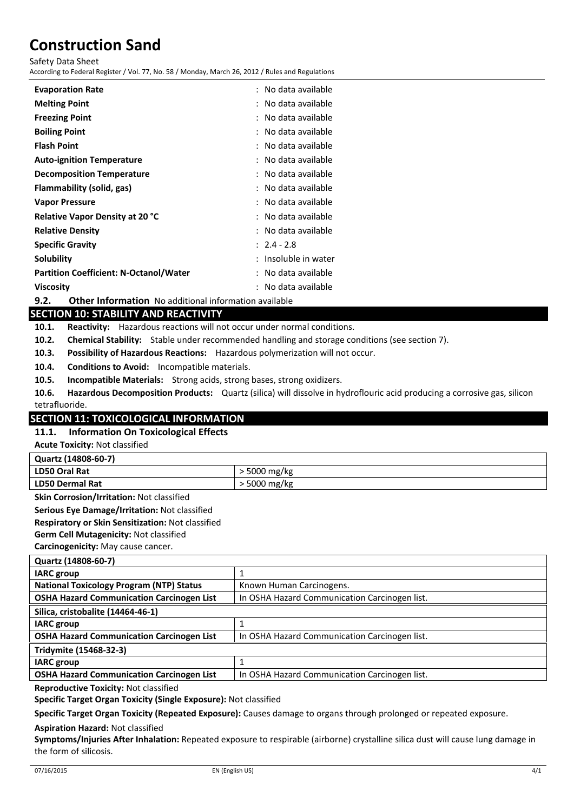Safety Data Sheet

According to Federal Register / Vol. 77, No. 58 / Monday, March 26, 2012 / Rules and Regulations

| <b>Evaporation Rate</b>                       | No data available<br>÷. |
|-----------------------------------------------|-------------------------|
| <b>Melting Point</b>                          | No data available<br>÷. |
| <b>Freezing Point</b>                         | No data available       |
| <b>Boiling Point</b>                          | No data available       |
| <b>Flash Point</b>                            | No data available       |
| <b>Auto-ignition Temperature</b>              | No data available       |
| <b>Decomposition Temperature</b>              | No data available       |
| Flammability (solid, gas)                     | No data available       |
| <b>Vapor Pressure</b>                         | No data available       |
| <b>Relative Vapor Density at 20 °C</b>        | No data available       |
| <b>Relative Density</b>                       | No data available       |
| <b>Specific Gravity</b>                       | $: 2.4 - 2.8$           |
| Solubility                                    | Insoluble in water      |
| <b>Partition Coefficient: N-Octanol/Water</b> | No data available       |
| <b>Viscosity</b>                              | No data available       |

**9.2. Other Information** No additional information available

# **SECTION 10: STABILITY AND REACTIVITY**

**10.1. Reactivity:** Hazardous reactions will not occur under normal conditions.

- **10.2. Chemical Stability:** Stable under recommended handling and storage conditions (see section 7).
- **10.3. Possibility of Hazardous Reactions:** Hazardous polymerization will not occur.
- **10.4. Conditions to Avoid:** Incompatible materials.
- **10.5. Incompatible Materials:** Strong acids, strong bases, strong oxidizers.
- **10.6. Hazardous Decomposition Products:** Quartz (silica) will dissolve in hydroflouric acid producing a corrosive gas, silicon tetrafluoride.

# **SECTION 11: TOXICOLOGICAL INFORMATION**

# **11.1. Information On Toxicological Effects**

**Acute Toxicity:** Not classified

| Quartz (14808-60-7)    |                    |  |
|------------------------|--------------------|--|
| LD50 Oral Rat          | ⋅5000 mg/kg        |  |
| <b>LD50 Dermal Rat</b> | $\cdot$ 5000 mg/kg |  |

**Skin Corrosion/Irritation:** Not classified

**Serious Eye Damage/Irritation:** Not classified

**Respiratory or Skin Sensitization:** Not classified

**Germ Cell Mutagenicity:** Not classified

**Carcinogenicity:** May cause cancer.

| Quartz (14808-60-7)                              |                                               |  |
|--------------------------------------------------|-----------------------------------------------|--|
| <b>IARC</b> group                                |                                               |  |
| <b>National Toxicology Program (NTP) Status</b>  | Known Human Carcinogens.                      |  |
| <b>OSHA Hazard Communication Carcinogen List</b> | In OSHA Hazard Communication Carcinogen list. |  |
| Silica, cristobalite (14464-46-1)                |                                               |  |
| <b>IARC</b> group                                |                                               |  |
| <b>OSHA Hazard Communication Carcinogen List</b> | In OSHA Hazard Communication Carcinogen list. |  |
| Tridymite (15468-32-3)                           |                                               |  |
| <b>IARC</b> group                                |                                               |  |
| <b>OSHA Hazard Communication Carcinogen List</b> | In OSHA Hazard Communication Carcinogen list. |  |
|                                                  |                                               |  |

**Reproductive Toxicity:** Not classified

**Specific Target Organ Toxicity (Single Exposure):** Not classified

**Specific Target Organ Toxicity (Repeated Exposure):** Causes damage to organs through prolonged or repeated exposure.

#### **Aspiration Hazard:** Not classified

**Symptoms/Injuries After Inhalation:** Repeated exposure to respirable (airborne) crystalline silica dust will cause lung damage in the form of silicosis.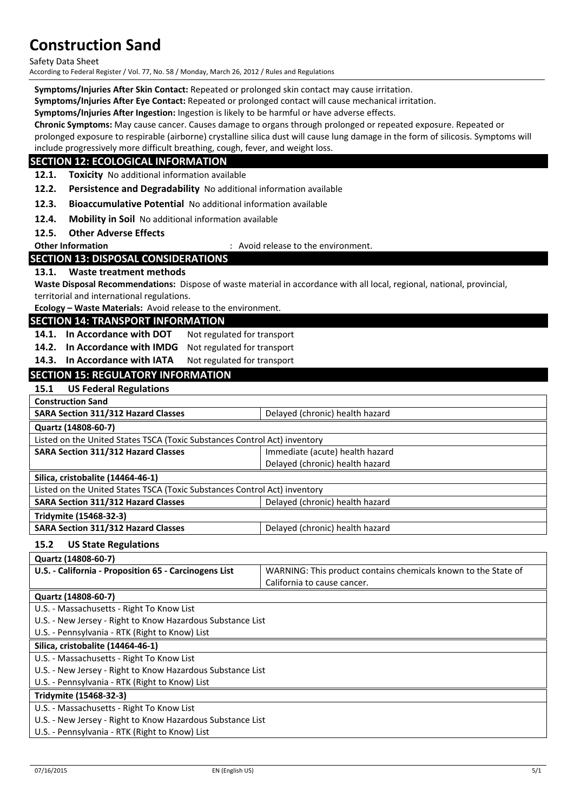Safety Data Sheet

According to Federal Register / Vol. 77, No. 58 / Monday, March 26, 2012 / Rules and Regulations

**Symptoms/Injuries After Skin Contact:** Repeated or prolonged skin contact may cause irritation.

**Symptoms/Injuries After Eye Contact:** Repeated or prolonged contact will cause mechanical irritation.

**Symptoms/Injuries After Ingestion:** Ingestion is likely to be harmful or have adverse effects.

**Chronic Symptoms:** May cause cancer. Causes damage to organs through prolonged or repeated exposure. Repeated or

prolonged exposure to respirable (airborne) crystalline silica dust will cause lung damage in the form of silicosis. Symptoms will include progressively more difficult breathing, cough, fever, and weight loss.

# **SECTION 12: ECOLOGICAL INFORMATION**

**12.1. Toxicity** No additional information available

**12.2. Persistence and Degradability** No additional information available

**12.3. Bioaccumulative Potential** No additional information available

**12.4. Mobility in Soil** No additional information available

**12.5. Other Adverse Effects**

**Other Information COLLECT ENGLISION** : Avoid release to the environment.

# **SECTION 13: DISPOSAL CONSIDERATIONS**

#### **13.1. Waste treatment methods**

**Waste Disposal Recommendations:** Dispose of waste material in accordance with all local, regional, national, provincial, territorial and international regulations.

**Ecology – Waste Materials:** Avoid release to the environment.

#### **SECTION 14: TRANSPORT INFORMATION**

14.1. In Accordance with DOT Not regulated for transport

**14.2. In Accordance with IMDG** Not regulated for transport

14.3. In Accordance with IATA Not regulated for transport

# **SECTION 15: REGULATORY INFORMATION**

#### **15.1 US Federal Regulations**

| <b>Construction Sand</b>                                                  |                                 |  |
|---------------------------------------------------------------------------|---------------------------------|--|
| <b>SARA Section 311/312 Hazard Classes</b>                                | Delayed (chronic) health hazard |  |
| Quartz (14808-60-7)                                                       |                                 |  |
| Listed on the United States TSCA (Toxic Substances Control Act) inventory |                                 |  |
| <b>SARA Section 311/312 Hazard Classes</b>                                | Immediate (acute) health hazard |  |
|                                                                           | Delayed (chronic) health hazard |  |
| Silica, cristobalite (14464-46-1)                                         |                                 |  |
| Listed on the United States TSCA (Toxic Substances Control Act) inventory |                                 |  |
| <b>SARA Section 311/312 Hazard Classes</b>                                | Delayed (chronic) health hazard |  |
| Tridymite (15468-32-3)                                                    |                                 |  |
| <b>SARA Section 311/312 Hazard Classes</b>                                | Delayed (chronic) health hazard |  |

#### **15.2 US State Regulations**

| Quartz (14808-60-7)                                   |                                                                |
|-------------------------------------------------------|----------------------------------------------------------------|
| U.S. - California - Proposition 65 - Carcinogens List | WARNING: This product contains chemicals known to the State of |
|                                                       | California to cause cancer.                                    |
|                                                       |                                                                |

#### **Quartz (14808-60-7)**

- U.S. Massachusetts Right To Know List
- U.S. New Jersey Right to Know Hazardous Substance List

U.S. - Pennsylvania - RTK (Right to Know) List

#### **Silica, cristobalite (14464-46-1)**

- U.S. Massachusetts Right To Know List
- U.S. New Jersey Right to Know Hazardous Substance List

U.S. - Pennsylvania - RTK (Right to Know) List

#### **Tridymite (15468-32-3)**

U.S. - Massachusetts - Right To Know List

U.S. - New Jersey - Right to Know Hazardous Substance List

U.S. - Pennsylvania - RTK (Right to Know) List